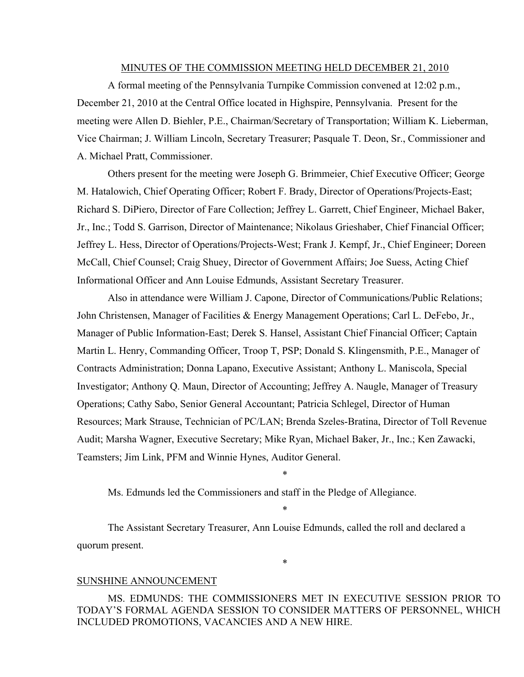#### MINUTES OF THE COMMISSION MEETING HELD DECEMBER 21, 2010

A formal meeting of the Pennsylvania Turnpike Commission convened at 12:02 p.m., December 21, 2010 at the Central Office located in Highspire, Pennsylvania. Present for the meeting were Allen D. Biehler, P.E., Chairman/Secretary of Transportation; William K. Lieberman, Vice Chairman; J. William Lincoln, Secretary Treasurer; Pasquale T. Deon, Sr., Commissioner and A. Michael Pratt, Commissioner.

Others present for the meeting were Joseph G. Brimmeier, Chief Executive Officer; George M. Hatalowich, Chief Operating Officer; Robert F. Brady, Director of Operations/Projects-East; Richard S. DiPiero, Director of Fare Collection; Jeffrey L. Garrett, Chief Engineer, Michael Baker, Jr., Inc.; Todd S. Garrison, Director of Maintenance; Nikolaus Grieshaber, Chief Financial Officer; Jeffrey L. Hess, Director of Operations/Projects-West; Frank J. Kempf, Jr., Chief Engineer; Doreen McCall, Chief Counsel; Craig Shuey, Director of Government Affairs; Joe Suess, Acting Chief Informational Officer and Ann Louise Edmunds, Assistant Secretary Treasurer.

Also in attendance were William J. Capone, Director of Communications/Public Relations; John Christensen, Manager of Facilities & Energy Management Operations; Carl L. DeFebo, Jr., Manager of Public Information-East; Derek S. Hansel, Assistant Chief Financial Officer; Captain Martin L. Henry, Commanding Officer, Troop T, PSP; Donald S. Klingensmith, P.E., Manager of Contracts Administration; Donna Lapano, Executive Assistant; Anthony L. Maniscola, Special Investigator; Anthony Q. Maun, Director of Accounting; Jeffrey A. Naugle, Manager of Treasury Operations; Cathy Sabo, Senior General Accountant; Patricia Schlegel, Director of Human Resources; Mark Strause, Technician of PC/LAN; Brenda Szeles-Bratina, Director of Toll Revenue Audit; Marsha Wagner, Executive Secretary; Mike Ryan, Michael Baker, Jr., Inc.; Ken Zawacki, Teamsters; Jim Link, PFM and Winnie Hynes, Auditor General.

\*

\*

\*

Ms. Edmunds led the Commissioners and staff in the Pledge of Allegiance.

The Assistant Secretary Treasurer, Ann Louise Edmunds, called the roll and declared a quorum present.

#### SUNSHINE ANNOUNCEMENT

MS. EDMUNDS: THE COMMISSIONERS MET IN EXECUTIVE SESSION PRIOR TO TODAY'S FORMAL AGENDA SESSION TO CONSIDER MATTERS OF PERSONNEL, WHICH INCLUDED PROMOTIONS, VACANCIES AND A NEW HIRE.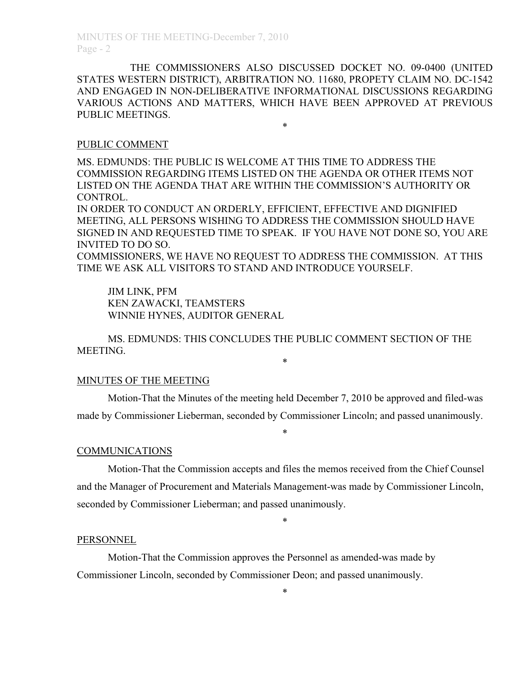THE COMMISSIONERS ALSO DISCUSSED DOCKET NO. 09-0400 (UNITED STATES WESTERN DISTRICT), ARBITRATION NO. 11680, PROPETY CLAIM NO. DC-1542 AND ENGAGED IN NON-DELIBERATIVE INFORMATIONAL DISCUSSIONS REGARDING VARIOUS ACTIONS AND MATTERS, WHICH HAVE BEEN APPROVED AT PREVIOUS PUBLIC MEETINGS.

\*

#### PUBLIC COMMENT

MS. EDMUNDS: THE PUBLIC IS WELCOME AT THIS TIME TO ADDRESS THE COMMISSION REGARDING ITEMS LISTED ON THE AGENDA OR OTHER ITEMS NOT LISTED ON THE AGENDA THAT ARE WITHIN THE COMMISSION'S AUTHORITY OR CONTROL.

IN ORDER TO CONDUCT AN ORDERLY, EFFICIENT, EFFECTIVE AND DIGNIFIED MEETING, ALL PERSONS WISHING TO ADDRESS THE COMMISSION SHOULD HAVE SIGNED IN AND REQUESTED TIME TO SPEAK. IF YOU HAVE NOT DONE SO, YOU ARE INVITED TO DO SO.

COMMISSIONERS, WE HAVE NO REQUEST TO ADDRESS THE COMMISSION. AT THIS TIME WE ASK ALL VISITORS TO STAND AND INTRODUCE YOURSELF.

JIM LINK, PFM KEN ZAWACKI, TEAMSTERS WINNIE HYNES, AUDITOR GENERAL

MS. EDMUNDS: THIS CONCLUDES THE PUBLIC COMMENT SECTION OF THE MEETING. \*

## MINUTES OF THE MEETING

Motion-That the Minutes of the meeting held December 7, 2010 be approved and filed-was made by Commissioner Lieberman, seconded by Commissioner Lincoln; and passed unanimously.

\*

#### **COMMUNICATIONS**

Motion-That the Commission accepts and files the memos received from the Chief Counsel and the Manager of Procurement and Materials Management-was made by Commissioner Lincoln, seconded by Commissioner Lieberman; and passed unanimously.

\*

#### PERSONNEL

Motion-That the Commission approves the Personnel as amended-was made by Commissioner Lincoln, seconded by Commissioner Deon; and passed unanimously.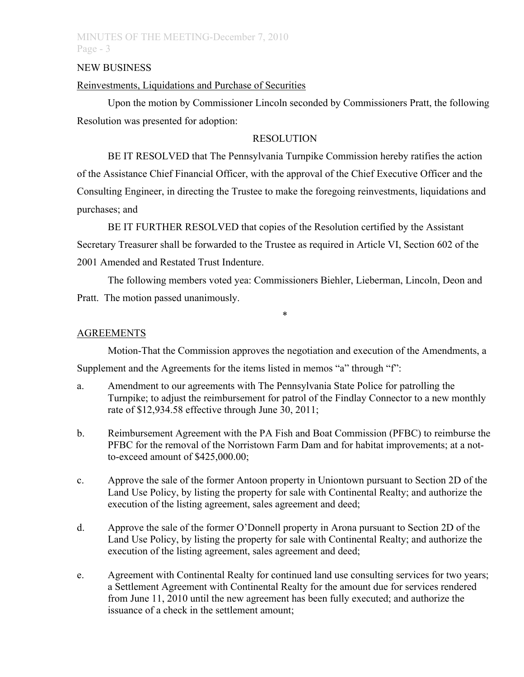## MINUTES OF THE MEETING-December 7, 2010 Page - 3

#### NEW BUSINESS

## Reinvestments, Liquidations and Purchase of Securities

Upon the motion by Commissioner Lincoln seconded by Commissioners Pratt, the following Resolution was presented for adoption:

## **RESOLUTION**

BE IT RESOLVED that The Pennsylvania Turnpike Commission hereby ratifies the action of the Assistance Chief Financial Officer, with the approval of the Chief Executive Officer and the Consulting Engineer, in directing the Trustee to make the foregoing reinvestments, liquidations and purchases; and

BE IT FURTHER RESOLVED that copies of the Resolution certified by the Assistant Secretary Treasurer shall be forwarded to the Trustee as required in Article VI, Section 602 of the 2001 Amended and Restated Trust Indenture.

The following members voted yea: Commissioners Biehler, Lieberman, Lincoln, Deon and Pratt. The motion passed unanimously.

\*

## **AGREEMENTS**

Motion-That the Commission approves the negotiation and execution of the Amendments, a Supplement and the Agreements for the items listed in memos "a" through "f":

- a. Amendment to our agreements with The Pennsylvania State Police for patrolling the Turnpike; to adjust the reimbursement for patrol of the Findlay Connector to a new monthly rate of \$12,934.58 effective through June 30, 2011;
- b. Reimbursement Agreement with the PA Fish and Boat Commission (PFBC) to reimburse the PFBC for the removal of the Norristown Farm Dam and for habitat improvements; at a notto-exceed amount of \$425,000.00;
- c. Approve the sale of the former Antoon property in Uniontown pursuant to Section 2D of the Land Use Policy, by listing the property for sale with Continental Realty; and authorize the execution of the listing agreement, sales agreement and deed;
- d. Approve the sale of the former O'Donnell property in Arona pursuant to Section 2D of the Land Use Policy, by listing the property for sale with Continental Realty; and authorize the execution of the listing agreement, sales agreement and deed;
- e. Agreement with Continental Realty for continued land use consulting services for two years; a Settlement Agreement with Continental Realty for the amount due for services rendered from June 11, 2010 until the new agreement has been fully executed; and authorize the issuance of a check in the settlement amount;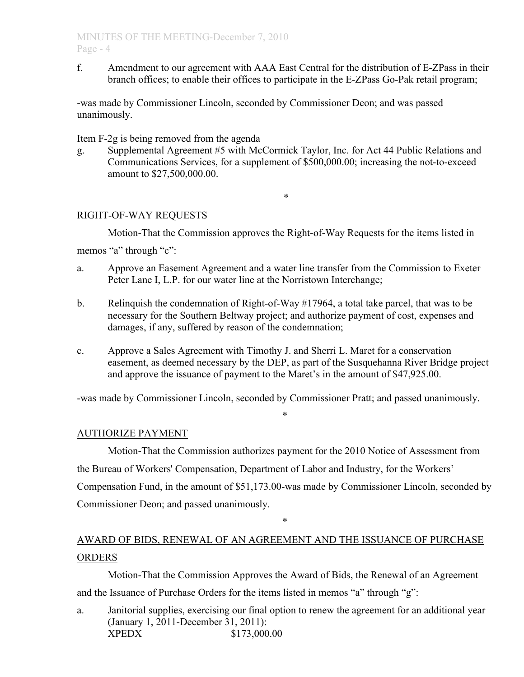f. Amendment to our agreement with AAA East Central for the distribution of E-ZPass in their branch offices; to enable their offices to participate in the E-ZPass Go-Pak retail program;

-was made by Commissioner Lincoln, seconded by Commissioner Deon; and was passed unanimously.

Item F-2g is being removed from the agenda

g. Supplemental Agreement #5 with McCormick Taylor, Inc. for Act 44 Public Relations and Communications Services, for a supplement of \$500,000.00; increasing the not-to-exceed amount to \$27,500,000.00.

\*

## RIGHT-OF-WAY REQUESTS

Motion-That the Commission approves the Right-of-Way Requests for the items listed in memos "a" through "c":

- a. Approve an Easement Agreement and a water line transfer from the Commission to Exeter Peter Lane I, L.P. for our water line at the Norristown Interchange;
- b. Relinquish the condemnation of Right-of-Way #17964, a total take parcel, that was to be necessary for the Southern Beltway project; and authorize payment of cost, expenses and damages, if any, suffered by reason of the condemnation;
- c. Approve a Sales Agreement with Timothy J. and Sherri L. Maret for a conservation easement, as deemed necessary by the DEP, as part of the Susquehanna River Bridge project and approve the issuance of payment to the Maret's in the amount of \$47,925.00.

-was made by Commissioner Lincoln, seconded by Commissioner Pratt; and passed unanimously.

\*

## AUTHORIZE PAYMENT

Motion-That the Commission authorizes payment for the 2010 Notice of Assessment from the Bureau of Workers' Compensation, Department of Labor and Industry, for the Workers' Compensation Fund, in the amount of \$51,173.00-was made by Commissioner Lincoln, seconded by Commissioner Deon; and passed unanimously.

\*

# AWARD OF BIDS, RENEWAL OF AN AGREEMENT AND THE ISSUANCE OF PURCHASE **ORDERS**

Motion-That the Commission Approves the Award of Bids, the Renewal of an Agreement and the Issuance of Purchase Orders for the items listed in memos "a" through "g":

a. Janitorial supplies, exercising our final option to renew the agreement for an additional year (January 1, 2011-December 31, 2011): XPEDX \$173,000.00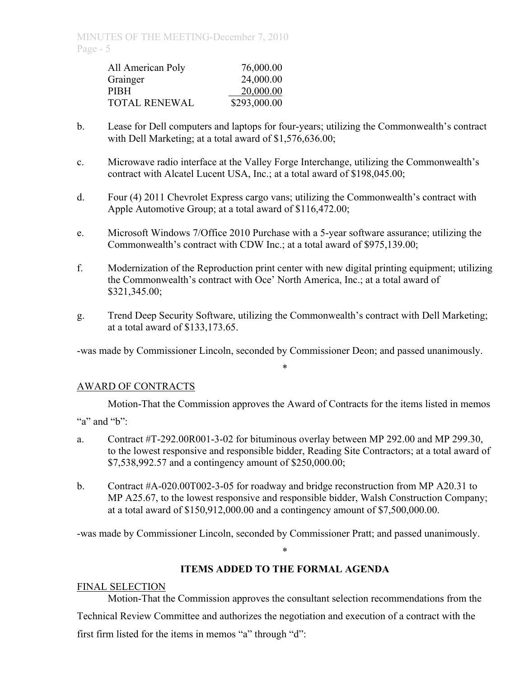| All American Poly    | 76,000.00    |
|----------------------|--------------|
| Grainger             | 24,000.00    |
| <b>PIBH</b>          | 20,000.00    |
| <b>TOTAL RENEWAL</b> | \$293,000.00 |

- b. Lease for Dell computers and laptops for four-years; utilizing the Commonwealth's contract with Dell Marketing; at a total award of \$1,576,636.00;
- c. Microwave radio interface at the Valley Forge Interchange, utilizing the Commonwealth's contract with Alcatel Lucent USA, Inc.; at a total award of \$198,045.00;
- d. Four (4) 2011 Chevrolet Express cargo vans; utilizing the Commonwealth's contract with Apple Automotive Group; at a total award of \$116,472.00;
- e. Microsoft Windows 7/Office 2010 Purchase with a 5-year software assurance; utilizing the Commonwealth's contract with CDW Inc.; at a total award of \$975,139.00;
- f. Modernization of the Reproduction print center with new digital printing equipment; utilizing the Commonwealth's contract with Oce' North America, Inc.; at a total award of \$321,345.00;
- g. Trend Deep Security Software, utilizing the Commonwealth's contract with Dell Marketing; at a total award of \$133,173.65.

-was made by Commissioner Lincoln, seconded by Commissioner Deon; and passed unanimously.

\*

## AWARD OF CONTRACTS

Motion-That the Commission approves the Award of Contracts for the items listed in memos

"a" and "b":

- a. Contract #T-292.00R001-3-02 for bituminous overlay between MP 292.00 and MP 299.30, to the lowest responsive and responsible bidder, Reading Site Contractors; at a total award of \$7,538,992.57 and a contingency amount of \$250,000.00;
- b. Contract #A-020.00T002-3-05 for roadway and bridge reconstruction from MP A20.31 to MP A25.67, to the lowest responsive and responsible bidder, Walsh Construction Company; at a total award of \$150,912,000.00 and a contingency amount of \$7,500,000.00.

-was made by Commissioner Lincoln, seconded by Commissioner Pratt; and passed unanimously.

\*

# **ITEMS ADDED TO THE FORMAL AGENDA**

# FINAL SELECTION

Motion-That the Commission approves the consultant selection recommendations from the Technical Review Committee and authorizes the negotiation and execution of a contract with the first firm listed for the items in memos "a" through "d":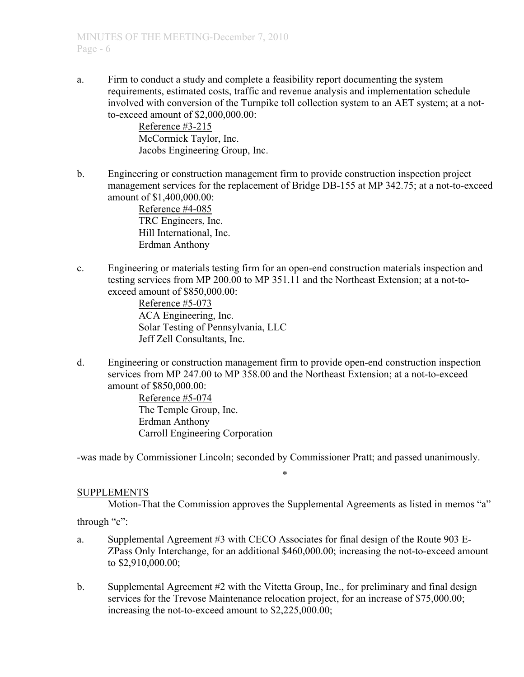a. Firm to conduct a study and complete a feasibility report documenting the system requirements, estimated costs, traffic and revenue analysis and implementation schedule involved with conversion of the Turnpike toll collection system to an AET system; at a notto-exceed amount of \$2,000,000.00:

> Reference #3-215 McCormick Taylor, Inc. Jacobs Engineering Group, Inc.

b. Engineering or construction management firm to provide construction inspection project management services for the replacement of Bridge DB-155 at MP 342.75; at a not-to-exceed amount of \$1,400,000.00:

Reference #4-085 TRC Engineers, Inc. Hill International, Inc. Erdman Anthony

c. Engineering or materials testing firm for an open-end construction materials inspection and testing services from MP 200.00 to MP 351.11 and the Northeast Extension; at a not-toexceed amount of \$850,000.00:

> Reference #5-073 ACA Engineering, Inc. Solar Testing of Pennsylvania, LLC Jeff Zell Consultants, Inc.

d. Engineering or construction management firm to provide open-end construction inspection services from MP 247.00 to MP 358.00 and the Northeast Extension; at a not-to-exceed amount of \$850,000.00:

Reference #5-074 The Temple Group, Inc. Erdman Anthony Carroll Engineering Corporation

-was made by Commissioner Lincoln; seconded by Commissioner Pratt; and passed unanimously.

\*

## SUPPLEMENTS

Motion-That the Commission approves the Supplemental Agreements as listed in memos "a"

through "c":

- a. Supplemental Agreement #3 with CECO Associates for final design of the Route 903 E-ZPass Only Interchange, for an additional \$460,000.00; increasing the not-to-exceed amount to \$2,910,000.00;
- b. Supplemental Agreement #2 with the Vitetta Group, Inc., for preliminary and final design services for the Trevose Maintenance relocation project, for an increase of \$75,000.00; increasing the not-to-exceed amount to \$2,225,000.00;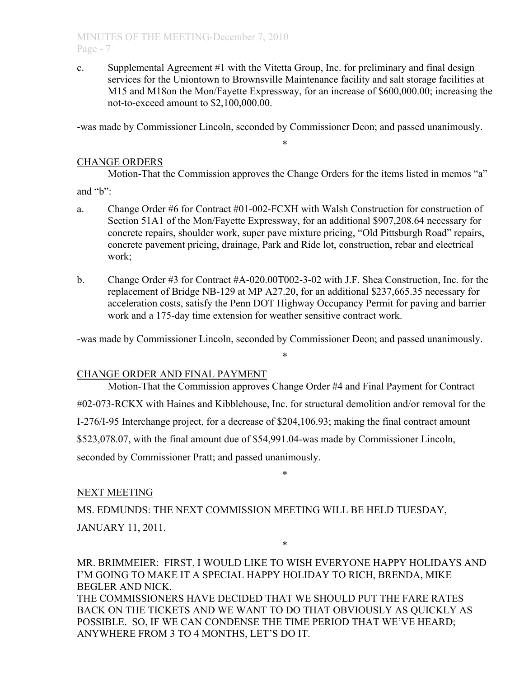c. Supplemental Agreement #1 with the Vitetta Group, Inc. for preliminary and final design services for the Uniontown to Brownsville Maintenance facility and salt storage facilities at M15 and M18on the Mon/Fayette Expressway, for an increase of \$600,000.00; increasing the not-to-exceed amount to \$2,100,000.00.

-was made by Commissioner Lincoln, seconded by Commissioner Deon; and passed unanimously.

\*

## CHANGE ORDERS

Motion-That the Commission approves the Change Orders for the items listed in memos "a" and "b":

- 
- a. Change Order #6 for Contract #01-002-FCXH with Walsh Construction for construction of Section 51A1 of the Mon/Fayette Expressway, for an additional \$907,208.64 necessary for concrete repairs, shoulder work, super pave mixture pricing, "Old Pittsburgh Road" repairs, concrete pavement pricing, drainage, Park and Ride lot, construction, rebar and electrical work;
- b. Change Order #3 for Contract #A-020.00T002-3-02 with J.F. Shea Construction, Inc. for the replacement of Bridge NB-129 at MP A27.20, for an additional \$237,665.35 necessary for acceleration costs, satisfy the Penn DOT Highway Occupancy Permit for paving and barrier work and a 175-day time extension for weather sensitive contract work.

-was made by Commissioner Lincoln, seconded by Commissioner Deon; and passed unanimously.

\*

## CHANGE ORDER AND FINAL PAYMENT

Motion-That the Commission approves Change Order #4 and Final Payment for Contract #02-073-RCKX with Haines and Kibblehouse, Inc. for structural demolition and/or removal for the I-276/I-95 Interchange project, for a decrease of \$204,106.93; making the final contract amount \$523,078.07, with the final amount due of \$54,991.04-was made by Commissioner Lincoln, seconded by Commissioner Pratt; and passed unanimously.

\*

## NEXT MEETING

MS. EDMUNDS: THE NEXT COMMISSION MEETING WILL BE HELD TUESDAY, JANUARY 11, 2011.

MR. BRIMMEIER: FIRST, I WOULD LIKE TO WISH EVERYONE HAPPY HOLIDAYS AND I'M GOING TO MAKE IT A SPECIAL HAPPY HOLIDAY TO RICH, BRENDA, MIKE BEGLER AND NICK. THE COMMISSIONERS HAVE DECIDED THAT WE SHOULD PUT THE FARE RATES BACK ON THE TICKETS AND WE WANT TO DO THAT OBVIOUSLY AS QUICKLY AS POSSIBLE. SO, IF WE CAN CONDENSE THE TIME PERIOD THAT WE'VE HEARD; ANYWHERE FROM 3 TO 4 MONTHS, LET'S DO IT.

\*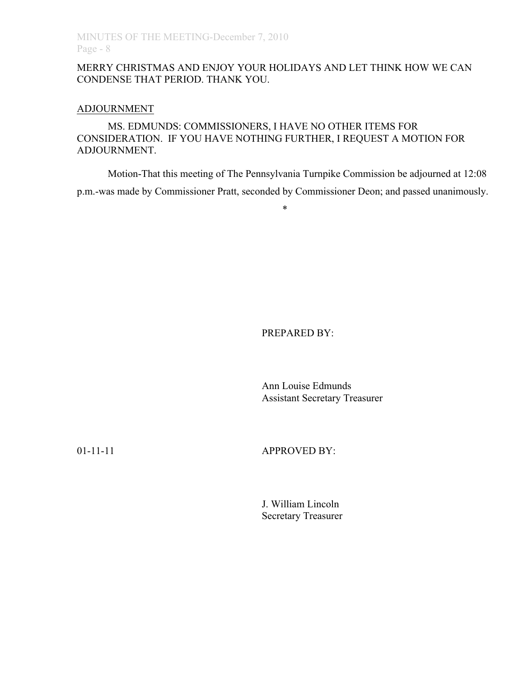## MERRY CHRISTMAS AND ENJOY YOUR HOLIDAYS AND LET THINK HOW WE CAN CONDENSE THAT PERIOD. THANK YOU.

#### ADJOURNMENT

MS. EDMUNDS: COMMISSIONERS, I HAVE NO OTHER ITEMS FOR CONSIDERATION. IF YOU HAVE NOTHING FURTHER, I REQUEST A MOTION FOR ADJOURNMENT.

Motion-That this meeting of The Pennsylvania Turnpike Commission be adjourned at 12:08 p.m.-was made by Commissioner Pratt, seconded by Commissioner Deon; and passed unanimously.

\*

PREPARED BY:

Ann Louise Edmunds Assistant Secretary Treasurer

01-11-11 **APPROVED BY:** 

J. William Lincoln Secretary Treasurer